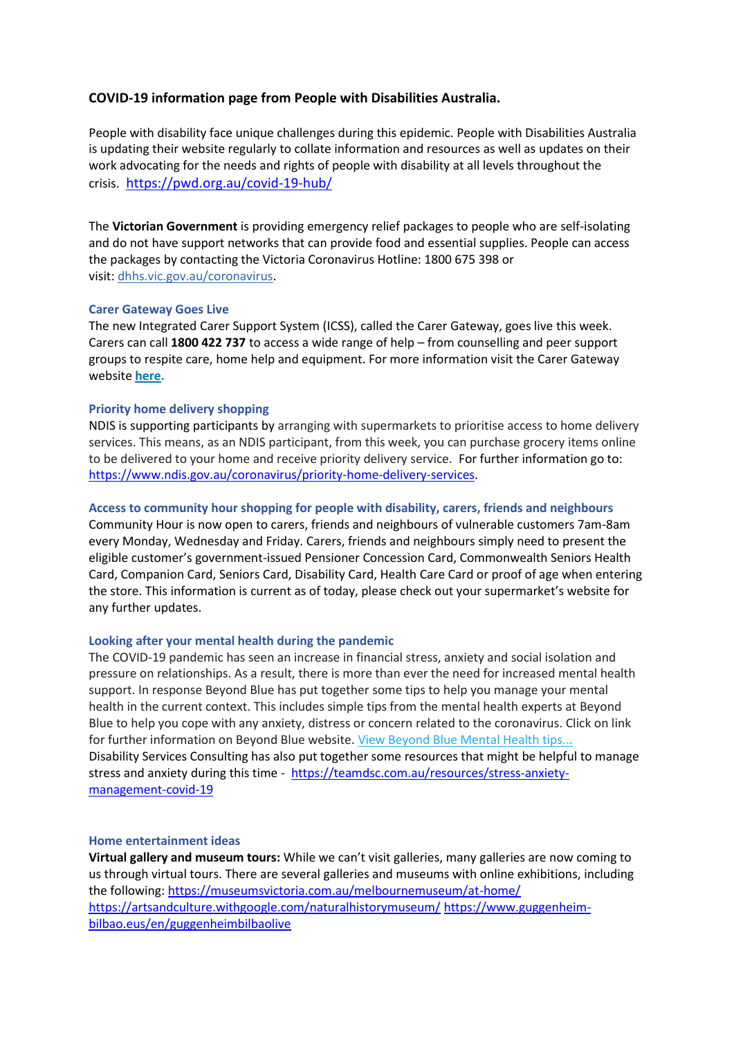# **COVID-19 information page from People with Disabilities Australia.**

People with disability face unique challenges during this epidemic. People with Disabilities Australia is updating their website regularly to collate information and resources as well as updates on their work advocating for the needs and rights of people with disability at all levels throughout the crisis. <https://pwd.org.au/covid-19-hub/>

The **Victorian Government** is providing emergency relief packages to people who are self-isolating and do not have support networks that can provide food and essential supplies. People can access the packages by contacting the Victoria Coronavirus Hotline: 1800 675 398 or visit: [dhhs.vic.gov.au/coronavirus.](https://www.dhhs.vic.gov.au/coronavirus)

#### **Carer Gateway Goes Live**

The new Integrated Carer Support System (ICSS), called the Carer Gateway, goes live this week. Carers can call **1800 422 737** to access a wide range of help – from counselling and peer support groups to respite care, home help and equipment. For more information visit the Carer Gateway website **[here.](https://carersvictoria.us4.list-manage.com/track/click?u=e30dd26b93cb03f6c554cb8ff&id=58c2f21041&e=10e72617c0)**

### **Priority home delivery shopping**

NDIS is supporting participants by arranging with supermarkets to prioritise access to home delivery services. This means, as an NDIS participant, from this week, you can purchase grocery items online to be delivered to your home and receive priority delivery service. For further information go to: [https://www.ndis.gov.au/coronavirus/priority-home-delivery-services.](https://www.ndis.gov.au/coronavirus/priority-home-delivery-services)

#### **Access to community hour shopping for people with disability, carers, friends and neighbours**

Community Hour is now open to carers, friends and neighbours of vulnerable customers 7am-8am every Monday, Wednesday and Friday. Carers, friends and neighbours simply need to present the eligible customer's government-issued Pensioner Concession Card, Commonwealth Seniors Health Card, Companion Card, Seniors Card, Disability Card, Health Care Card or proof of age when entering the store. This information is current as of today, please check out your supermarket's website for any further updates.

## **Looking after your mental health during the pandemic**

The COVID-19 pandemic has seen an increase in financial stress, anxiety and social isolation and pressure on relationships. As a result, there is more than ever the need for increased mental health support. In response Beyond Blue has put together some tips to help you manage your mental health in the current context. This includes simple tips from the mental health experts at Beyond Blue to help you cope with any anxiety, distress or concern related to the coronavirus. Click on link for further information on Beyond Blue website. [View Beyond Blue Mental Health tips...](https://smpcp.us2.list-manage.com/track/click?u=6349f8bdd040701194427c54f&id=529db8fda2&e=eef15cc4d4) Disability Services Consulting has also put together some resources that might be helpful to manage stress and anxiety during this time - [https://teamdsc.com.au/resources/stress-anxiety](https://teamdsc.com.au/resources/stress-anxiety-management-covid-19)[management-covid-19](https://teamdsc.com.au/resources/stress-anxiety-management-covid-19)

#### **Home entertainment ideas**

**Virtual gallery and museum tours:** While we can't visit galleries, many galleries are now coming to us through virtual tours. There are several galleries and museums with online exhibitions, including the following:<https://museumsvictoria.com.au/melbournemuseum/at-home/> <https://artsandculture.withgoogle.com/naturalhistorymuseum/> [https://www.guggenheim](https://www.guggenheim-bilbao.eus/en/guggenheimbilbaolive)[bilbao.eus/en/guggenheimbilbaolive](https://www.guggenheim-bilbao.eus/en/guggenheimbilbaolive)